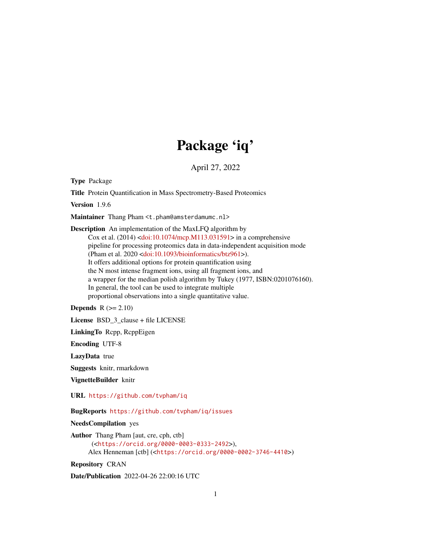## Package 'iq'

April 27, 2022

Type Package

Title Protein Quantification in Mass Spectrometry-Based Proteomics

Version 1.9.6

Maintainer Thang Pham <t.pham@amsterdamumc.nl>

Description An implementation of the MaxLFQ algorithm by Cox et al. (2014) [<doi:10.1074/mcp.M113.031591>](https://doi.org/10.1074/mcp.M113.031591) in a comprehensive pipeline for processing proteomics data in data-independent acquisition mode (Pham et al. 2020 [<doi:10.1093/bioinformatics/btz961>](https://doi.org/10.1093/bioinformatics/btz961)). It offers additional options for protein quantification using the N most intense fragment ions, using all fragment ions, and a wrapper for the median polish algorithm by Tukey (1977, ISBN:0201076160). In general, the tool can be used to integrate multiple proportional observations into a single quantitative value.

**Depends**  $R$  ( $>= 2.10$ )

License BSD\_3\_clause + file LICENSE

LinkingTo Rcpp, RcppEigen

Encoding UTF-8

LazyData true

Suggests knitr, rmarkdown

VignetteBuilder knitr

URL <https://github.com/tvpham/iq>

BugReports <https://github.com/tvpham/iq/issues>

NeedsCompilation yes

```
Author Thang Pham [aut, cre, cph, ctb]
      (<https://orcid.org/0000-0003-0333-2492>),
     Alex Henneman [ctb] (<https://orcid.org/0000-0002-3746-4410>)
```
Repository CRAN

Date/Publication 2022-04-26 22:00:16 UTC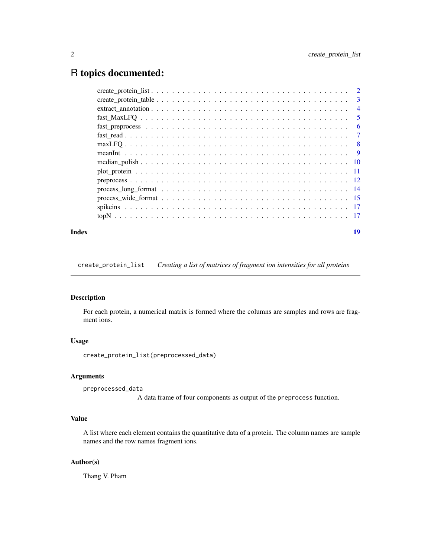## <span id="page-1-0"></span>R topics documented:

| Index | 19 |
|-------|----|
|       |    |
|       |    |
|       |    |
|       |    |
|       |    |
|       |    |
|       |    |
|       |    |
|       |    |
|       |    |
|       |    |
|       |    |
|       |    |
|       |    |
|       |    |

<span id="page-1-1"></span>create\_protein\_list *Creating a list of matrices of fragment ion intensities for all proteins*

## Description

For each protein, a numerical matrix is formed where the columns are samples and rows are fragment ions.

## Usage

```
create_protein_list(preprocessed_data)
```
## Arguments

```
preprocessed_data
```
A data frame of four components as output of the preprocess function.

## Value

A list where each element contains the quantitative data of a protein. The column names are sample names and the row names fragment ions.

## Author(s)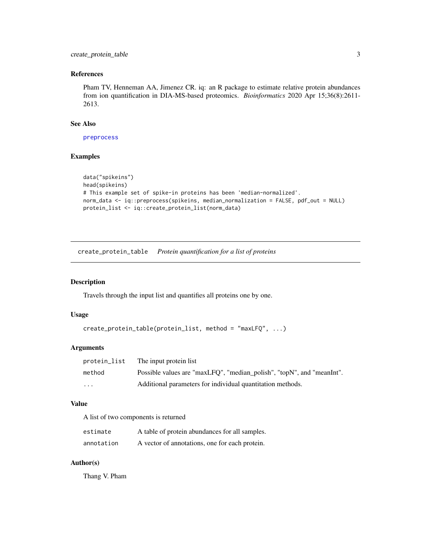## <span id="page-2-0"></span>References

Pham TV, Henneman AA, Jimenez CR. iq: an R package to estimate relative protein abundances from ion quantification in DIA-MS-based proteomics. *Bioinformatics* 2020 Apr 15;36(8):2611- 2613.

## See Also

[preprocess](#page-11-1)

## Examples

```
data("spikeins")
head(spikeins)
# This example set of spike-in proteins has been 'median-normalized'.
norm_data <- iq::preprocess(spikeins, median_normalization = FALSE, pdf_out = NULL)
protein_list <- iq::create_protein_list(norm_data)
```
create\_protein\_table *Protein quantification for a list of proteins*

#### Description

Travels through the input list and quantifies all proteins one by one.

## Usage

```
create_protein_table(protein_list, method = "maxLFQ", ...)
```
## Arguments

| protein_list | The input protein list                                                |
|--------------|-----------------------------------------------------------------------|
| method       | Possible values are "maxLFQ", "median_polish", "topN", and "meanInt". |
| $\cdots$     | Additional parameters for individual quantitation methods.            |

#### Value

A list of two components is returned

| estimate   | A table of protein abundances for all samples. |
|------------|------------------------------------------------|
| annotation | A vector of annotations, one for each protein. |

## Author(s)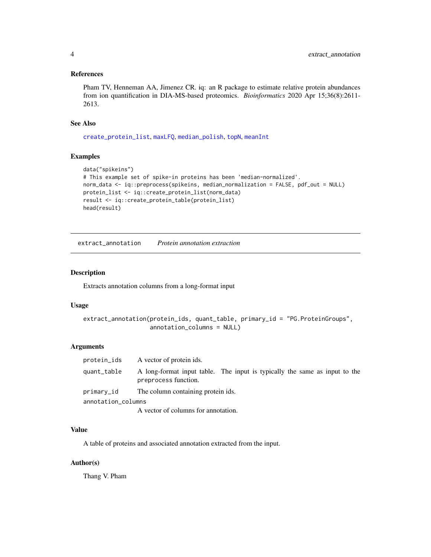#### <span id="page-3-0"></span>References

Pham TV, Henneman AA, Jimenez CR. iq: an R package to estimate relative protein abundances from ion quantification in DIA-MS-based proteomics. *Bioinformatics* 2020 Apr 15;36(8):2611- 2613.

## See Also

[create\\_protein\\_list](#page-1-1), [maxLFQ](#page-7-1), [median\\_polish](#page-9-1), [topN](#page-16-1), [meanInt](#page-8-1)

## Examples

```
data("spikeins")
# This example set of spike-in proteins has been 'median-normalized'.
norm_data <- iq::preprocess(spikeins, median_normalization = FALSE, pdf_out = NULL)
protein_list <- iq::create_protein_list(norm_data)
result <- iq::create_protein_table(protein_list)
head(result)
```
extract\_annotation *Protein annotation extraction*

#### Description

Extracts annotation columns from a long-format input

## Usage

```
extract_annotation(protein_ids, quant_table, primary_id = "PG.ProteinGroups",
                   annotation_columns = NULL)
```
#### Arguments

| protein_ids        | A vector of protein ids.                                                                           |
|--------------------|----------------------------------------------------------------------------------------------------|
| quant_table        | A long-format input table. The input is typically the same as input to the<br>preprocess function. |
| primary_id         | The column containing protein ids.                                                                 |
| annotation_columns |                                                                                                    |
|                    | A vector of columns for annotation.                                                                |

#### Value

A table of proteins and associated annotation extracted from the input.

## Author(s)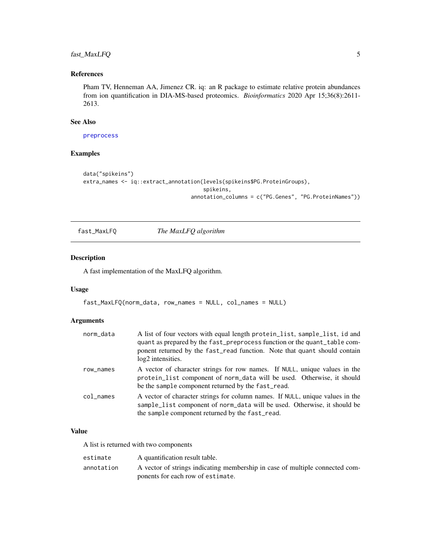## <span id="page-4-0"></span>fast\_MaxLFQ 5

## References

Pham TV, Henneman AA, Jimenez CR. iq: an R package to estimate relative protein abundances from ion quantification in DIA-MS-based proteomics. *Bioinformatics* 2020 Apr 15;36(8):2611- 2613.

#### See Also

[preprocess](#page-11-1)

## Examples

```
data("spikeins")
extra_names <- iq::extract_annotation(levels(spikeins$PG.ProteinGroups),
                                      spikeins,
                                  annotation_columns = c("PG.Genes", "PG.ProteinNames"))
```
<span id="page-4-1"></span>fast\_MaxLFQ *The MaxLFQ algorithm*

#### Description

A fast implementation of the MaxLFQ algorithm.

## Usage

```
fast_MaxLFQ(norm_data, row_names = NULL, col_names = NULL)
```
## Arguments

| norm_data | A list of four vectors with equal length protein_list, sample_list, id and<br>quant as prepared by the fast_preprocess function or the quant_table com-<br>ponent returned by the fast_read function. Note that quant should contain<br>log <sub>2</sub> intensities. |
|-----------|-----------------------------------------------------------------------------------------------------------------------------------------------------------------------------------------------------------------------------------------------------------------------|
| row_names | A vector of character strings for row names. If NULL, unique values in the<br>protein_list component of norm_data will be used. Otherwise, it should<br>be the sample component returned by the fast_read.                                                            |
| col_names | A vector of character strings for column names. If NULL, unique values in the<br>sample_list component of norm_data will be used. Otherwise, it should be<br>the sample component returned by the fast_read.                                                          |

## Value

A list is returned with two components

| estimate   | A quantification result table.                                               |
|------------|------------------------------------------------------------------------------|
| annotation | A vector of strings indicating membership in case of multiple connected com- |
|            | ponents for each row of estimate.                                            |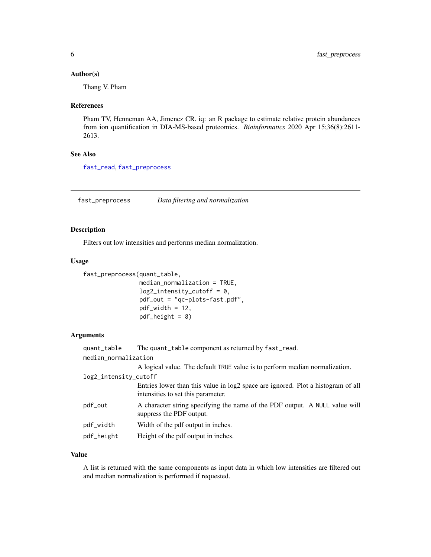#### <span id="page-5-0"></span>Author(s)

Thang V. Pham

#### References

Pham TV, Henneman AA, Jimenez CR. iq: an R package to estimate relative protein abundances from ion quantification in DIA-MS-based proteomics. *Bioinformatics* 2020 Apr 15;36(8):2611- 2613.

## See Also

[fast\\_read](#page-6-1), [fast\\_preprocess](#page-5-1)

<span id="page-5-1"></span>fast\_preprocess *Data filtering and normalization*

## Description

Filters out low intensities and performs median normalization.

#### Usage

```
fast_preprocess(quant_table,
                median_normalization = TRUE,
                log2_intensity_cutoff = 0,
                pdf_out = "qc-plots-fast.pdf",
                pdf\_width = 12,pdf_height = 8)
```
## Arguments

| quant_table           | The quant_table component as returned by fast_read.                                                                    |
|-----------------------|------------------------------------------------------------------------------------------------------------------------|
| median_normalization  |                                                                                                                        |
|                       | A logical value. The default TRUE value is to perform median normalization.                                            |
| log2_intensity_cutoff |                                                                                                                        |
|                       | Entries lower than this value in log2 space are ignored. Plot a histogram of all<br>intensities to set this parameter. |
| pdf_out               | A character string specifying the name of the PDF output. A NULL value will<br>suppress the PDF output.                |
| pdf_width             | Width of the pdf output in inches.                                                                                     |
| pdf_height            | Height of the pdf output in inches.                                                                                    |

## Value

A list is returned with the same components as input data in which low intensities are filtered out and median normalization is performed if requested.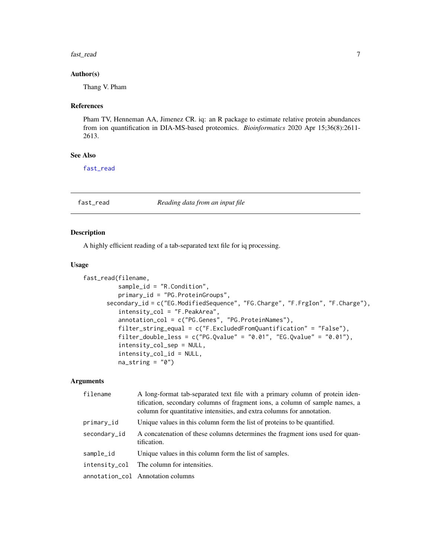#### <span id="page-6-0"></span>fast\_read 7

#### Author(s)

Thang V. Pham

#### References

Pham TV, Henneman AA, Jimenez CR. iq: an R package to estimate relative protein abundances from ion quantification in DIA-MS-based proteomics. *Bioinformatics* 2020 Apr 15;36(8):2611- 2613.

## See Also

[fast\\_read](#page-6-1)

#### <span id="page-6-1"></span>fast\_read *Reading data from an input file*

## Description

A highly efficient reading of a tab-separated text file for iq processing.

#### Usage

```
fast_read(filename,
          sample_id = "R.Condition",
         primary_id = "PG.ProteinGroups",
      secondary_id = c("EG.ModifiedSequence", "FG.Charge", "F.FrgIon", "F.Charge"),
          intensity_col = "F.PeakArea",
          annotation_col = c("PG.Genes", "PG.ProteinNames"),
          filter_string_equal = c("F.ExcludedFromQuantification" = "False"),
          filter_double_less = c("PG.Qvalue" = "0.01", "EG.Qvalue" = "0.01"),intensity_col_sep = NULL,
          intensity_col_id = NULL,
         na\_string = "0")
```
#### Arguments

| filename      | A long-format tab-separated text file with a primary column of protein iden-<br>tification, secondary columns of fragment ions, a column of sample names, a<br>column for quantitative intensities, and extra columns for annotation. |
|---------------|---------------------------------------------------------------------------------------------------------------------------------------------------------------------------------------------------------------------------------------|
| primary_id    | Unique values in this column form the list of proteins to be quantified.                                                                                                                                                              |
| secondary_id  | A concatenation of these columns determines the fragment ions used for quan-<br>tification.                                                                                                                                           |
| sample_id     | Unique values in this column form the list of samples.                                                                                                                                                                                |
| intensity_col | The column for intensities.                                                                                                                                                                                                           |
|               | annotation_col Annotation columns                                                                                                                                                                                                     |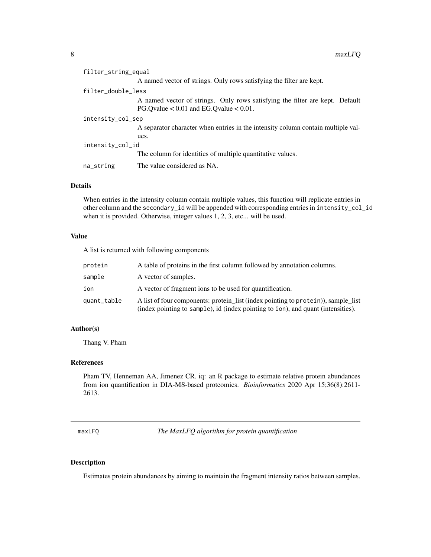<span id="page-7-0"></span>

| filter_string_equal |                                                                                                                             |
|---------------------|-----------------------------------------------------------------------------------------------------------------------------|
|                     | A named vector of strings. Only rows satisfying the filter are kept.                                                        |
| filter_double_less  |                                                                                                                             |
|                     | A named vector of strings. Only rows satisfying the filter are kept. Default<br>PG.Ovalue $< 0.01$ and EG.Ovalue $< 0.01$ . |
| intensity_col_sep   |                                                                                                                             |
|                     | A separator character when entries in the intensity column contain multiple val-                                            |
|                     | ues.                                                                                                                        |
| intensity_col_id    |                                                                                                                             |
|                     | The column for identities of multiple quantitative values.                                                                  |
| na_string           | The value considered as NA.                                                                                                 |

## Details

When entries in the intensity column contain multiple values, this function will replicate entries in other column and the secondary\_id will be appended with corresponding entries in intensity\_col\_id when it is provided. Otherwise, integer values 1, 2, 3, etc... will be used.

## Value

A list is returned with following components

| protein     | A table of proteins in the first column followed by annotation columns.                                                                                               |
|-------------|-----------------------------------------------------------------------------------------------------------------------------------------------------------------------|
| sample      | A vector of samples.                                                                                                                                                  |
| ion         | A vector of fragment ions to be used for quantification.                                                                                                              |
| quant_table | A list of four components: protein_list (index pointing to protein)), sample_list<br>(index pointing to sample), id (index pointing to ion), and quant (intensities). |

## Author(s)

Thang V. Pham

## References

Pham TV, Henneman AA, Jimenez CR. iq: an R package to estimate relative protein abundances from ion quantification in DIA-MS-based proteomics. *Bioinformatics* 2020 Apr 15;36(8):2611- 2613.

<span id="page-7-1"></span>maxLFQ *The MaxLFQ algorithm for protein quantification*

#### Description

Estimates protein abundances by aiming to maintain the fragment intensity ratios between samples.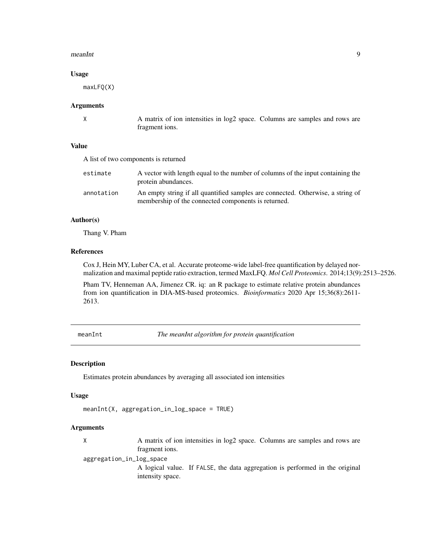#### <span id="page-8-0"></span>meanInt 9

#### Usage

maxLFQ(X)

#### Arguments

X A matrix of ion intensities in log2 space. Columns are samples and rows are fragment ions.

## Value

| A list of two components is returned |                                                                                                                                        |
|--------------------------------------|----------------------------------------------------------------------------------------------------------------------------------------|
| estimate                             | A vector with length equal to the number of columns of the input containing the<br>protein abundances.                                 |
| annotation                           | An empty string if all quantified samples are connected. Otherwise, a string of<br>membership of the connected components is returned. |

## Author(s)

Thang V. Pham

## References

Cox J, Hein MY, Luber CA, et al. Accurate proteome-wide label-free quantification by delayed normalization and maximal peptide ratio extraction, termed MaxLFQ. *Mol Cell Proteomics*. 2014;13(9):2513–2526.

Pham TV, Henneman AA, Jimenez CR. iq: an R package to estimate relative protein abundances from ion quantification in DIA-MS-based proteomics. *Bioinformatics* 2020 Apr 15;36(8):2611- 2613.

<span id="page-8-1"></span>meanInt *The meanInt algorithm for protein quantification*

#### Description

Estimates protein abundances by averaging all associated ion intensities

#### Usage

```
meanInt(X, aggregation_in_log_space = TRUE)
```
## Arguments

X A matrix of ion intensities in log2 space. Columns are samples and rows are fragment ions.

aggregation\_in\_log\_space

A logical value. If FALSE, the data aggregation is performed in the original intensity space.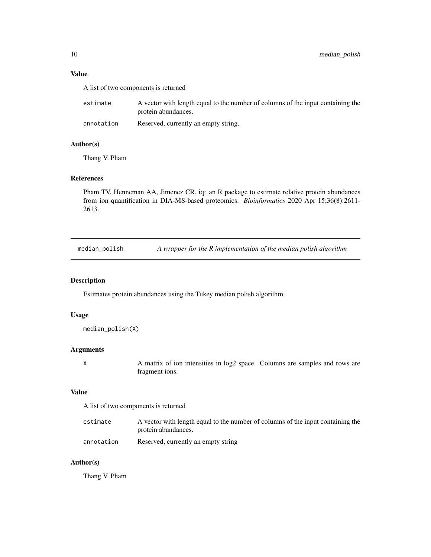## <span id="page-9-0"></span>Value

A list of two components is returned

| estimate   | A vector with length equal to the number of columns of the input containing the |
|------------|---------------------------------------------------------------------------------|
|            | protein abundances.                                                             |
| annotation | Reserved, currently an empty string.                                            |

## Author(s)

Thang V. Pham

## References

Pham TV, Henneman AA, Jimenez CR. iq: an R package to estimate relative protein abundances from ion quantification in DIA-MS-based proteomics. *Bioinformatics* 2020 Apr 15;36(8):2611- 2613.

<span id="page-9-1"></span>median\_polish *A wrapper for the R implementation of the median polish algorithm*

#### Description

Estimates protein abundances using the Tukey median polish algorithm.

## Usage

```
median_polish(X)
```
#### Arguments

X A matrix of ion intensities in log2 space. Columns are samples and rows are fragment ions.

## Value

A list of two components is returned

| estimate   | A vector with length equal to the number of columns of the input containing the |
|------------|---------------------------------------------------------------------------------|
|            | protein abundances.                                                             |
| annotation | Reserved, currently an empty string                                             |

#### Author(s)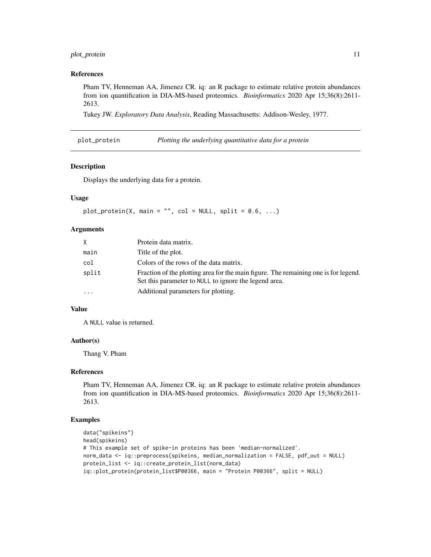## <span id="page-10-0"></span>plot\_protein 11

#### References

Pham TV, Henneman AA, Jimenez CR. iq: an R package to estimate relative protein abundances from ion quantification in DIA-MS-based proteomics. *Bioinformatics* 2020 Apr 15;36(8):2611- 2613.

Tukey JW. *Exploratory Data Analysis*, Reading Massachusetts: Addison-Wesley, 1977.

plot\_protein *Plotting the underlying quantitative data for a protein*

#### Description

Displays the underlying data for a protein.

## Usage

```
plot\_protein(X, main = "", col = NULL, split = 0.6, ...)
```
## Arguments

| X.        | Protein data matrix.                                                                                                                         |
|-----------|----------------------------------------------------------------------------------------------------------------------------------------------|
| main      | Title of the plot.                                                                                                                           |
| col       | Colors of the rows of the data matrix.                                                                                                       |
| split     | Fraction of the plotting area for the main figure. The remaining one is for legend.<br>Set this parameter to NULL to ignore the legend area. |
| $\ddotsc$ | Additional parameters for plotting.                                                                                                          |

## Value

A NULL value is returned.

## Author(s)

Thang V. Pham

## References

Pham TV, Henneman AA, Jimenez CR. iq: an R package to estimate relative protein abundances from ion quantification in DIA-MS-based proteomics. *Bioinformatics* 2020 Apr 15;36(8):2611- 2613.

## Examples

```
data("spikeins")
head(spikeins)
# This example set of spike-in proteins has been 'median-normalized'.
norm_data <- iq::preprocess(spikeins, median_normalization = FALSE, pdf_out = NULL)
protein_list <- iq::create_protein_list(norm_data)
iq::plot_protein(protein_list$P00366, main = "Protein P00366", split = NULL)
```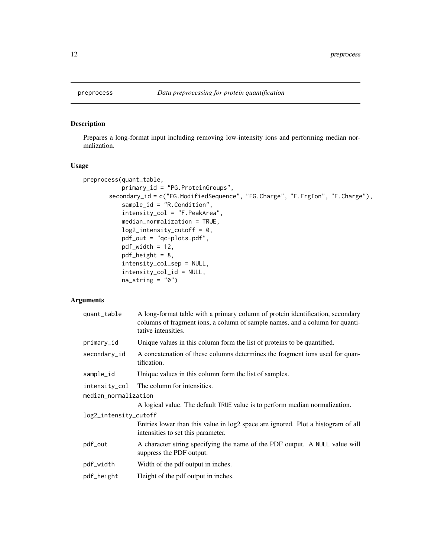<span id="page-11-1"></span><span id="page-11-0"></span>

## Description

Prepares a long-format input including removing low-intensity ions and performing median normalization.

## Usage

```
preprocess(quant_table,
          primary_id = "PG.ProteinGroups",
       secondary_id = c("EG.ModifiedSequence", "FG.Charge", "F.FrgIon", "F.Charge"),
           sample_id = "R.Condition",
           intensity_col = "F.PeakArea",
          median_normalization = TRUE,
           log2_intensity_cutoff = 0,
          pdf_out = "qc-plots.pdf",
          pdf\_width = 12,pdf_height = 8,
           intensity_col_sep = NULL,
           intensity_col_id = NULL,
          na\_string = "0")
```
#### Arguments

| quant_table           | A long-format table with a primary column of protein identification, secondary<br>columns of fragment ions, a column of sample names, and a column for quanti-<br>tative intensities. |
|-----------------------|---------------------------------------------------------------------------------------------------------------------------------------------------------------------------------------|
| primary_id            | Unique values in this column form the list of proteins to be quantified.                                                                                                              |
| secondary_id          | A concatenation of these columns determines the fragment ions used for quan-<br>tification.                                                                                           |
| sample_id             | Unique values in this column form the list of samples.                                                                                                                                |
| intensity_col         | The column for intensities.                                                                                                                                                           |
| median_normalization  |                                                                                                                                                                                       |
|                       | A logical value. The default TRUE value is to perform median normalization.                                                                                                           |
| log2_intensity_cutoff |                                                                                                                                                                                       |
|                       | Entries lower than this value in log2 space are ignored. Plot a histogram of all<br>intensities to set this parameter.                                                                |
| pdf_out               | A character string specifying the name of the PDF output. A NULL value will<br>suppress the PDF output.                                                                               |
| pdf_width             | Width of the pdf output in inches.                                                                                                                                                    |
| pdf_height            | Height of the pdf output in inches.                                                                                                                                                   |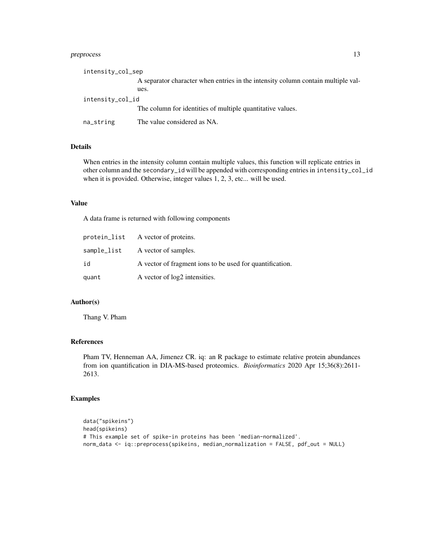## preprocess 13

| intensity_col_sep |                                                                                  |
|-------------------|----------------------------------------------------------------------------------|
|                   | A separator character when entries in the intensity column contain multiple val- |
|                   | ues.                                                                             |
| intensity_col_id  |                                                                                  |
|                   | The column for identities of multiple quantitative values.                       |
| na_string         | The value considered as NA.                                                      |

## Details

When entries in the intensity column contain multiple values, this function will replicate entries in other column and the secondary\_id will be appended with corresponding entries in intensity\_col\_id when it is provided. Otherwise, integer values 1, 2, 3, etc... will be used.

#### Value

A data frame is returned with following components

|       | protein_list A vector of proteins.                       |
|-------|----------------------------------------------------------|
|       | sample_list A vector of samples.                         |
| id    | A vector of fragment ions to be used for quantification. |
| quant | A vector of log2 intensities.                            |

## Author(s)

Thang V. Pham

## References

Pham TV, Henneman AA, Jimenez CR. iq: an R package to estimate relative protein abundances from ion quantification in DIA-MS-based proteomics. *Bioinformatics* 2020 Apr 15;36(8):2611- 2613.

## Examples

```
data("spikeins")
head(spikeins)
# This example set of spike-in proteins has been 'median-normalized'.
norm_data <- iq::preprocess(spikeins, median_normalization = FALSE, pdf_out = NULL)
```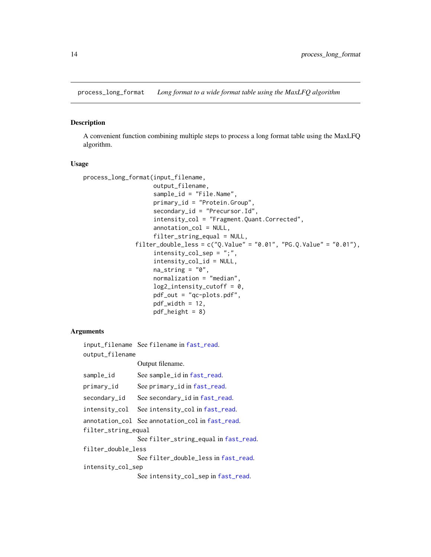<span id="page-13-0"></span>process\_long\_format *Long format to a wide format table using the MaxLFQ algorithm*

#### Description

A convenient function combining multiple steps to process a long format table using the MaxLFQ algorithm.

#### Usage

```
process_long_format(input_filename,
                    output_filename,
                    sample_id = "File.Name",
                    primary_id = "Protein.Group",
                    secondary_id = "Precursor.Id",
                    intensity_col = "Fragment.Quant.Corrected",
                    annotation_col = NULL,
                    filter_string_equal = NULL,
               filter_double_less = c("Q.Vallow" = "0.01", "PG.Q.Vallow" = "0.01"),intensity_col_sep = ";",
                    intensity_col_id = NULL,
                    na\_string = "0",normalization = "median",
                    log2_intensity_cutoff = 0,
                    pdf_out = "qc-plots.pdf",
                    pdf\_width = 12,pdf\_height = 8)
```
## **Arguments**

input\_filename See filename in [fast\\_read](#page-6-1). output\_filename Output filename. sample\_id See sample\_id in [fast\\_read](#page-6-1). primary\_id See primary\_id in [fast\\_read](#page-6-1). secondary\_id See secondary\_id in [fast\\_read](#page-6-1). intensity\_col See intensity\_col in [fast\\_read](#page-6-1). annotation\_col See annotation\_col in [fast\\_read](#page-6-1). filter\_string\_equal See filter\_string\_equal in [fast\\_read](#page-6-1). filter\_double\_less See filter\_double\_less in [fast\\_read](#page-6-1). intensity\_col\_sep See intensity\_col\_sep in [fast\\_read](#page-6-1).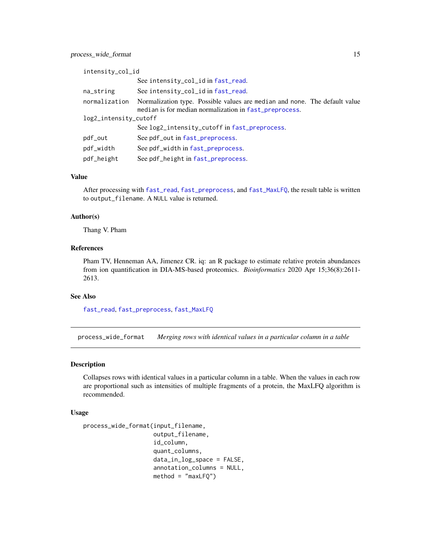<span id="page-14-0"></span>

| intensity_col_id      |                                                                                                                                      |
|-----------------------|--------------------------------------------------------------------------------------------------------------------------------------|
|                       | See intensity_col_id in fast_read.                                                                                                   |
| na_string             | See intensity_col_id in fast_read.                                                                                                   |
| normalization         | Normalization type. Possible values are median and none. The default value<br>median is for median normalization in fast_preprocess. |
| log2_intensity_cutoff |                                                                                                                                      |
|                       | See log2_intensity_cutoff in fast_preprocess.                                                                                        |
| pdf_out               | See pdf_out in fast_preprocess.                                                                                                      |
| pdf_width             | See pdf_width in fast_preprocess.                                                                                                    |
| pdf_height            | See pdf_height in fast_preprocess.                                                                                                   |

#### Value

After processing with [fast\\_read](#page-6-1), [fast\\_preprocess](#page-5-1), and [fast\\_MaxLFQ](#page-4-1), the result table is written to output\_filename. A NULL value is returned.

#### Author(s)

Thang V. Pham

## References

Pham TV, Henneman AA, Jimenez CR. iq: an R package to estimate relative protein abundances from ion quantification in DIA-MS-based proteomics. *Bioinformatics* 2020 Apr 15;36(8):2611- 2613.

## See Also

[fast\\_read](#page-6-1), [fast\\_preprocess](#page-5-1), [fast\\_MaxLFQ](#page-4-1)

process\_wide\_format *Merging rows with identical values in a particular column in a table*

## Description

Collapses rows with identical values in a particular column in a table. When the values in each row are proportional such as intensities of multiple fragments of a protein, the MaxLFQ algorithm is recommended.

#### Usage

```
process_wide_format(input_filename,
                    output_filename,
                    id_column,
                    quant_columns,
                    data_in_log_space = FALSE,
                    annotation_columns = NULL,
                    method = "maxLFQ")
```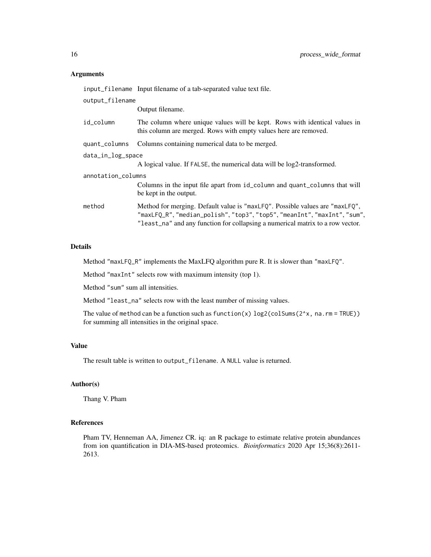#### Arguments

input\_filename Input filename of a tab-separated value text file. output\_filename Output filename. id\_column The column where unique values will be kept. Rows with identical values in this column are merged. Rows with empty values here are removed. quant\_columns Columns containing numerical data to be merged. data\_in\_log\_space A logical value. If FALSE, the numerical data will be log2-transformed. annotation\_columns Columns in the input file apart from id\_column and quant\_columns that will be kept in the output. method Method for merging. Default value is "maxLFQ". Possible values are "maxLFQ", "maxLFQ\_R", "median\_polish", "top3", "top5", "meanInt", "maxInt", "sum", "least\_na" and any function for collapsing a numerical matrix to a row vector.

#### Details

Method "maxLFQ\_R" implements the MaxLFQ algorithm pure R. It is slower than "maxLFQ".

Method "maxInt" selects row with maximum intensity (top 1).

Method "sum" sum all intensities.

Method "least\_na" selects row with the least number of missing values.

The value of method can be a function such as function(x)  $log2$ (colSums(2^x, na.rm = TRUE)) for summing all intensities in the original space.

## Value

The result table is written to output\_filename. A NULL value is returned.

#### Author(s)

Thang V. Pham

#### References

Pham TV, Henneman AA, Jimenez CR. iq: an R package to estimate relative protein abundances from ion quantification in DIA-MS-based proteomics. *Bioinformatics* 2020 Apr 15;36(8):2611- 2613.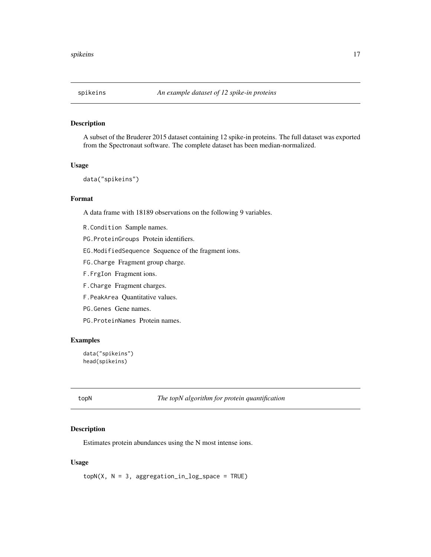<span id="page-16-0"></span>

## Description

A subset of the Bruderer 2015 dataset containing 12 spike-in proteins. The full dataset was exported from the Spectronaut software. The complete dataset has been median-normalized.

#### Usage

```
data("spikeins")
```
## Format

A data frame with 18189 observations on the following 9 variables.

- R.Condition Sample names.
- PG.ProteinGroups Protein identifiers.
- EG.ModifiedSequence Sequence of the fragment ions.
- FG.Charge Fragment group charge.
- F.FrgIon Fragment ions.
- F.Charge Fragment charges.
- F.PeakArea Quantitative values.
- PG.Genes Gene names.
- PG.ProteinNames Protein names.

## Examples

```
data("spikeins")
head(spikeins)
```
<span id="page-16-1"></span>topN *The topN algorithm for protein quantification*

## Description

Estimates protein abundances using the N most intense ions.

#### Usage

 $topN(X, N = 3, aggregation_in_log_space = TRUE)$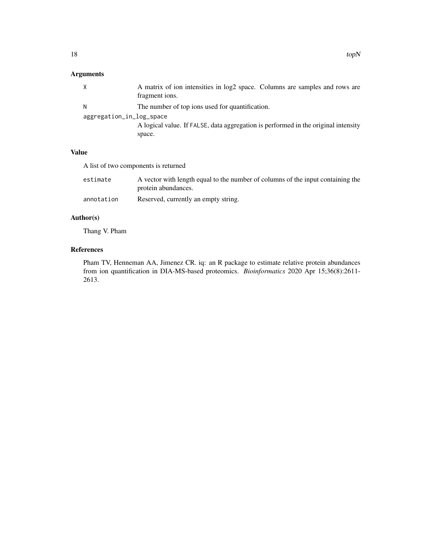## Arguments

|                          | A matrix of ion intensities in log2 space. Columns are samples and rows are<br>fragment ions. |
|--------------------------|-----------------------------------------------------------------------------------------------|
|                          | The number of top ions used for quantification.                                               |
| aggregation_in_log_space |                                                                                               |
|                          | A logical value. If FALSE, data aggregation is performed in the original intensity            |
|                          | space.                                                                                        |

## Value

A list of two components is returned

| estimate   | A vector with length equal to the number of columns of the input containing the<br>protein abundances. |
|------------|--------------------------------------------------------------------------------------------------------|
| annotation | Reserved, currently an empty string.                                                                   |

## Author(s)

Thang V. Pham

## References

Pham TV, Henneman AA, Jimenez CR. iq: an R package to estimate relative protein abundances from ion quantification in DIA-MS-based proteomics. *Bioinformatics* 2020 Apr 15;36(8):2611- 2613.